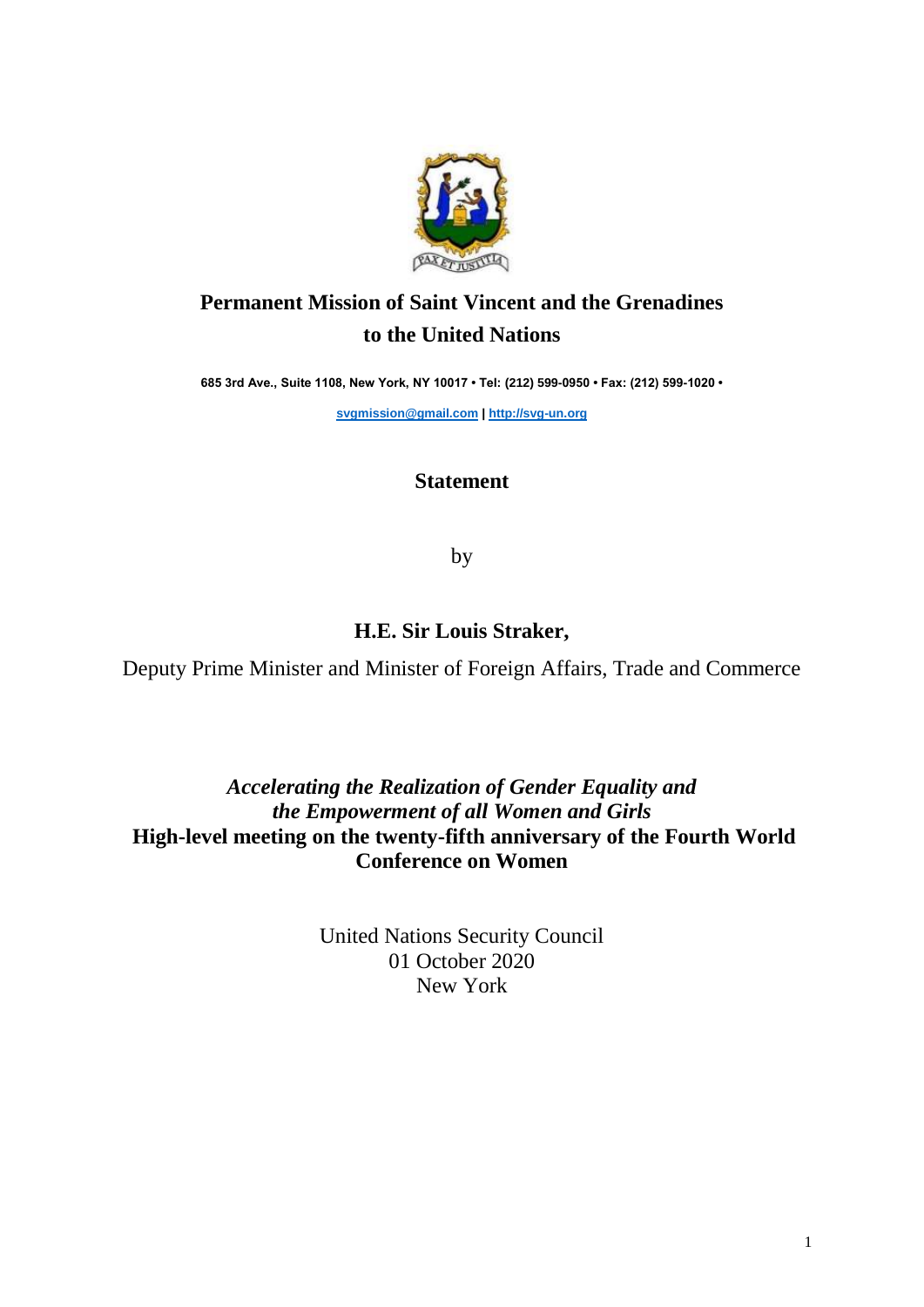

## **Permanent Mission of Saint Vincent and the Grenadines to the United Nations**

**685 3rd Ave., Suite 1108, New York, NY 10017 • Tel: (212) 599-0950 • Fax: (212) 599-1020 •** 

**[svgmission@gmail.com](mailto:svgmission@gmail.com) | [http://svg-un.org](http://svg-un.org/)**

## **Statement**

by

## **H.E. Sir Louis Straker,**

Deputy Prime Minister and Minister of Foreign Affairs, Trade and Commerce

## *Accelerating the Realization of Gender Equality and the Empowerment of all Women and Girls* **High-level meeting on the twenty-fifth anniversary of the Fourth World Conference on Women**

United Nations Security Council 01 October 2020 New York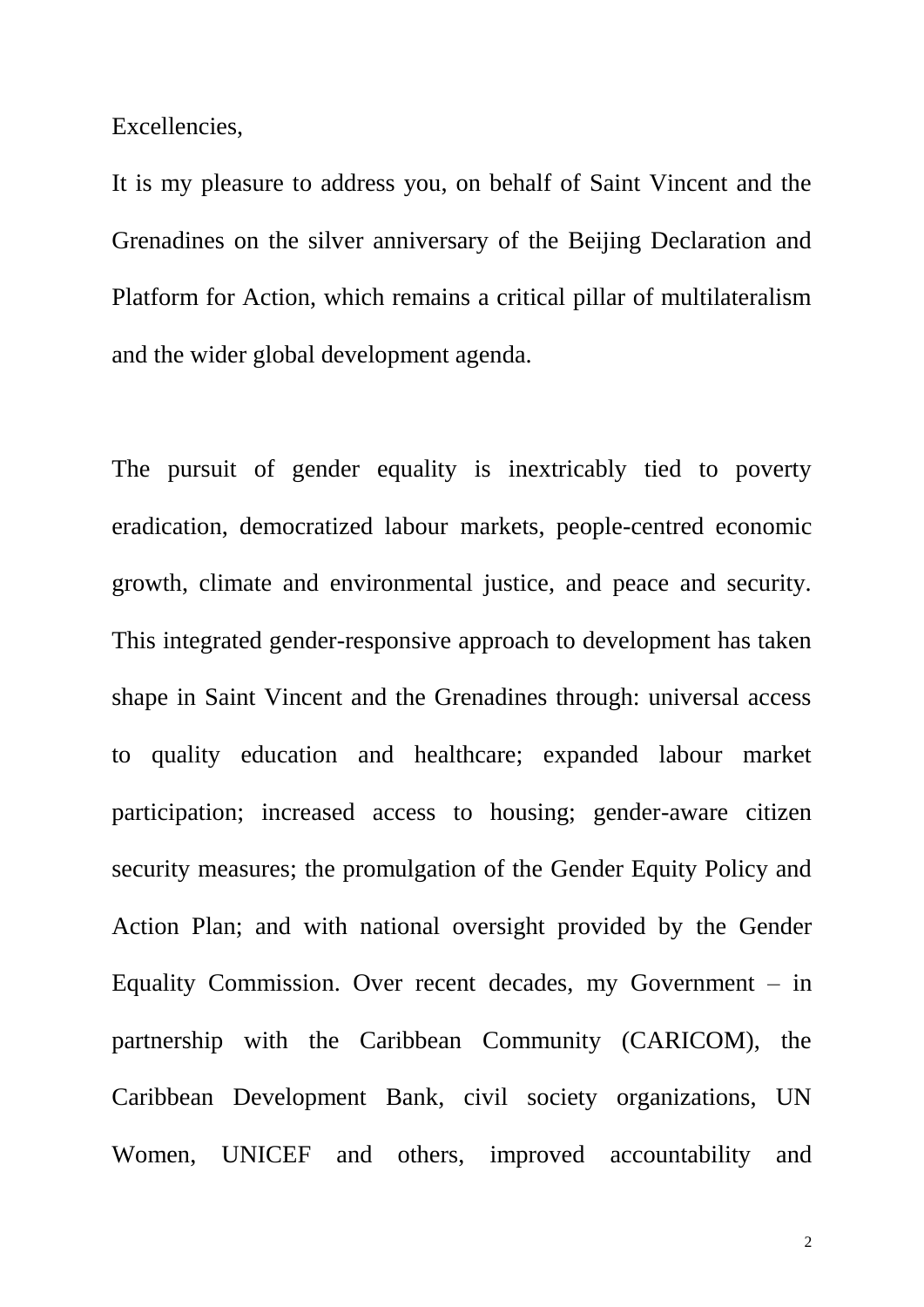Excellencies,

It is my pleasure to address you, on behalf of Saint Vincent and the Grenadines on the silver anniversary of the Beijing Declaration and Platform for Action, which remains a critical pillar of multilateralism and the wider global development agenda.

The pursuit of gender equality is inextricably tied to poverty eradication, democratized labour markets, people-centred economic growth, climate and environmental justice, and peace and security. This integrated gender-responsive approach to development has taken shape in Saint Vincent and the Grenadines through: universal access to quality education and healthcare; expanded labour market participation; increased access to housing; gender-aware citizen security measures; the promulgation of the Gender Equity Policy and Action Plan; and with national oversight provided by the Gender Equality Commission. Over recent decades, my Government – in partnership with the Caribbean Community (CARICOM), the Caribbean Development Bank, civil society organizations, UN Women, UNICEF and others, improved accountability and

2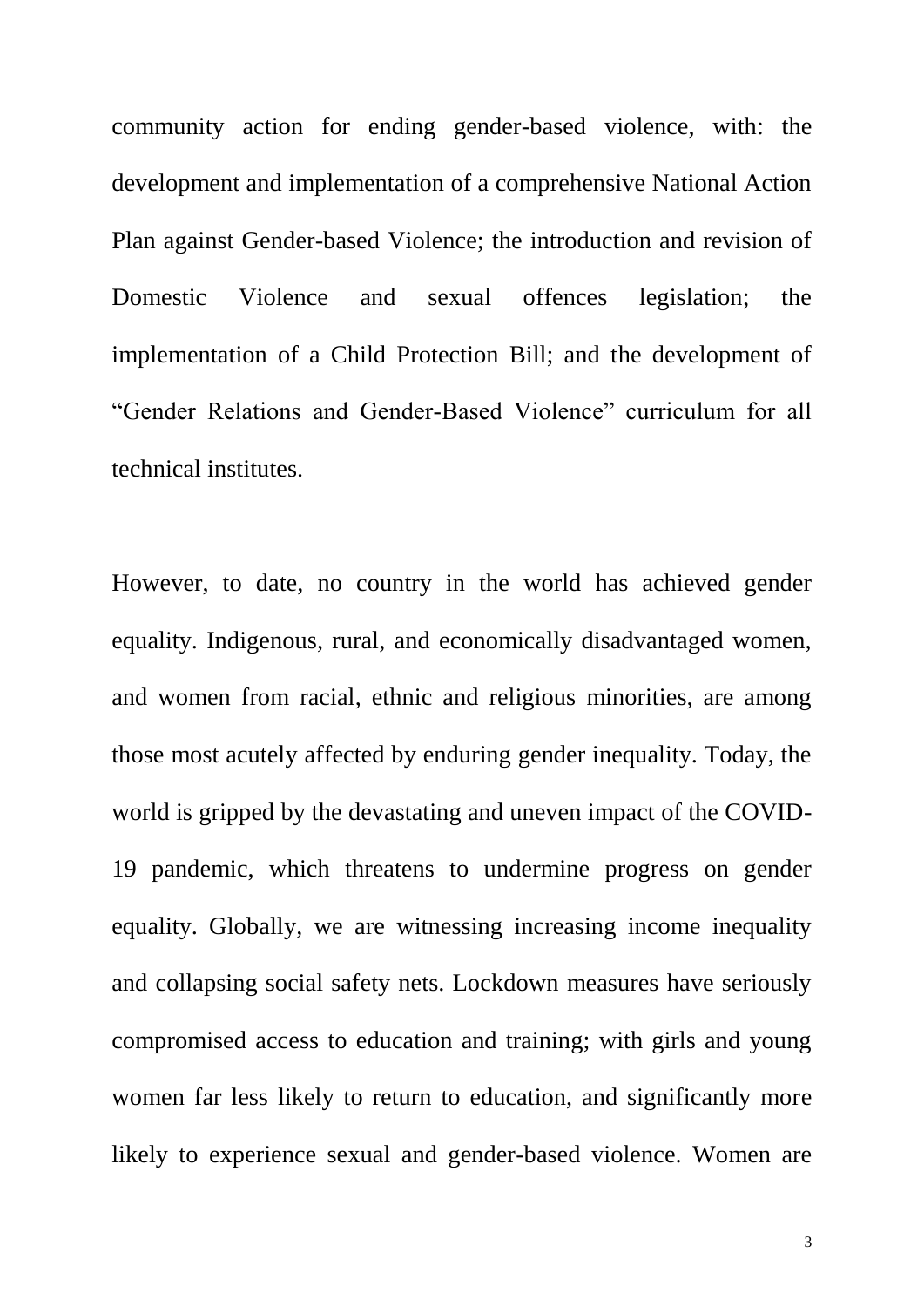community action for ending gender-based violence, with: the development and implementation of a comprehensive National Action Plan against Gender-based Violence; the introduction and revision of Domestic Violence and sexual offences legislation; the implementation of a Child Protection Bill; and the development of "Gender Relations and Gender-Based Violence" curriculum for all technical institutes.

However, to date, no country in the world has achieved gender equality. Indigenous, rural, and economically disadvantaged women, and women from racial, ethnic and religious minorities, are among those most acutely affected by enduring gender inequality. Today, the world is gripped by the devastating and uneven impact of the COVID-19 pandemic, which threatens to undermine progress on gender equality. Globally, we are witnessing increasing income inequality and collapsing social safety nets. Lockdown measures have seriously compromised access to education and training; with girls and young women far less likely to return to education, and significantly more likely to experience sexual and gender-based violence. Women are